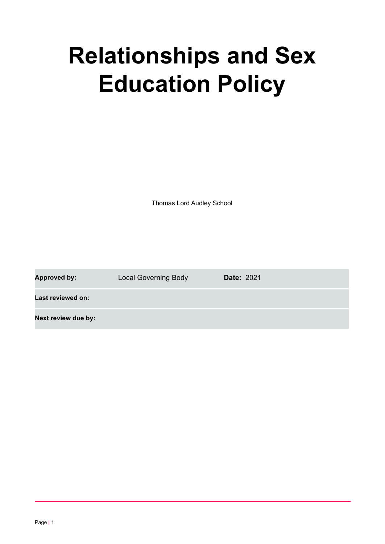# **Relationships and Sex Education Policy**

Thomas Lord Audley School

**Approved by:** Local Governing Body **Date:** 2021

**Last reviewed on:**

**Next review due by:**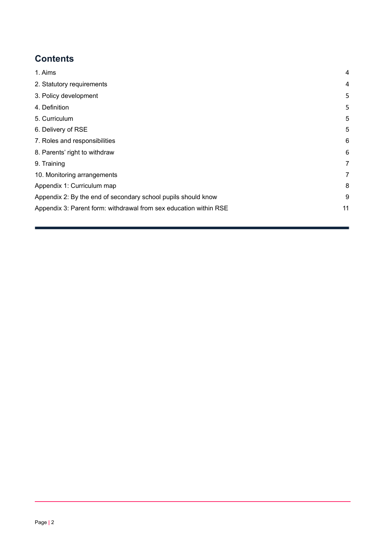# **Contents**

<span id="page-1-0"></span>

| 1. Aims                                                           | $\overline{4}$ |
|-------------------------------------------------------------------|----------------|
| 2. Statutory requirements                                         | 4              |
| 3. Policy development                                             | 5              |
| 4. Definition                                                     | 5              |
| 5. Curriculum                                                     | 5              |
| 6. Delivery of RSE                                                | 5              |
| 7. Roles and responsibilities                                     | 6              |
| 8. Parents' right to withdraw                                     | 6              |
| 9. Training                                                       | 7              |
| 10. Monitoring arrangements                                       | 7              |
| Appendix 1: Curriculum map                                        | 8              |
| Appendix 2: By the end of secondary school pupils should know     | 9              |
| Appendix 3: Parent form: withdrawal from sex education within RSE | 11             |
|                                                                   |                |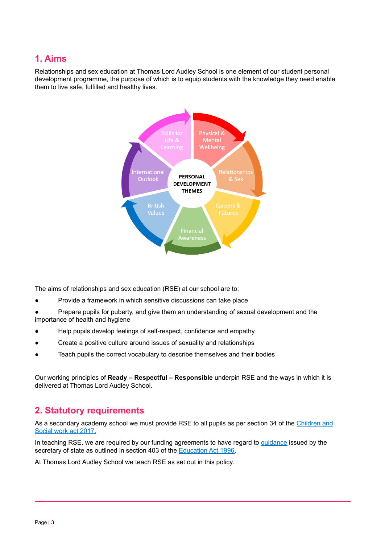# **1. Aims**

Relationships and sex education at Thomas Lord Audley School is one element of our student personal development programme, the purpose of which is to equip students with the knowledge they need enable them to live safe, fulfilled and healthy lives.



The aims of relationships and sex education (RSE) at our school are to:

Provide a framework in which sensitive discussions can take place

● Prepare pupils for puberty, and give them an understanding of sexual development and the importance of health and hygiene

- Help pupils develop feelings of self-respect, confidence and empathy
- Create a positive culture around issues of sexuality and relationships
- Teach pupils the correct vocabulary to describe themselves and their bodies

Our working principles of **Ready – Respectful – Responsible** underpin RSE and the ways in which it is delivered at Thomas Lord Audley School.

# <span id="page-2-0"></span>**2. Statutory requirements**

As a secondary academy school we must provide RSE to all pupils as per section 34 of the [Children](http://www.legislation.gov.uk/ukpga/2017/16/section/34/enacted) and [Social](http://www.legislation.gov.uk/ukpga/2017/16/section/34/enacted) work act 2017.

In teaching RSE, we are required by our funding agreements to have regard to [guidance](https://www.gov.uk/government/consultations/relationships-and-sex-education-and-health-education) issued by the secretary of state as outlined in section 403 of the [Education](http://www.legislation.gov.uk/ukpga/1996/56/contents) Act 1996.

At Thomas Lord Audley School we teach RSE as set out in this policy.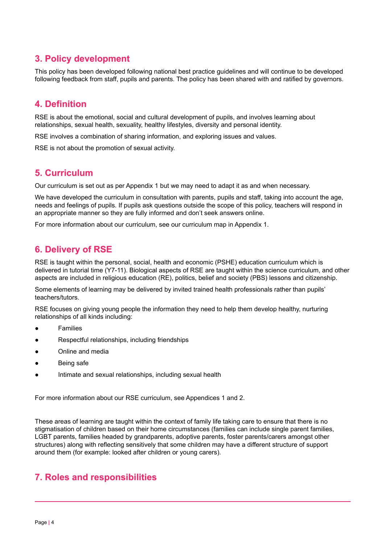# **3. Policy development**

This policy has been developed following national best practice guidelines and will continue to be developed following feedback from staff, pupils and parents. The policy has been shared with and ratified by governors.

# **4. Definition**

RSE is about the emotional, social and cultural development of pupils, and involves learning about relationships, sexual health, sexuality, healthy lifestyles, diversity and personal identity.

RSE involves a combination of sharing information, and exploring issues and values.

<span id="page-3-0"></span>RSE is not about the promotion of sexual activity.

## **5. Curriculum**

Our curriculum is set out as per Appendix 1 but we may need to adapt it as and when necessary.

We have developed the curriculum in consultation with parents, pupils and staff, taking into account the age, needs and feelings of pupils. If pupils ask questions outside the scope of this policy, teachers will respond in an appropriate manner so they are fully informed and don't seek answers online.

<span id="page-3-1"></span>For more information about our curriculum, see our curriculum map in Appendix 1.

# **6. Delivery of RSE**

RSE is taught within the personal, social, health and economic (PSHE) education curriculum which is delivered in tutorial time (Y7-11). Biological aspects of RSE are taught within the science curriculum, and other aspects are included in religious education (RE), politics, belief and society (PBS) lessons and citizenship.

Some elements of learning may be delivered by invited trained health professionals rather than pupils' teachers/tutors.

RSE focuses on giving young people the information they need to help them develop healthy, nurturing relationships of all kinds including:

- **Families**
- Respectful relationships, including friendships
- Online and media
- Being safe
- Intimate and sexual relationships, including sexual health

For more information about our RSE curriculum, see Appendices 1 and 2.

These areas of learning are taught within the context of family life taking care to ensure that there is no stigmatisation of children based on their home circumstances (families can include single parent families, LGBT parents, families headed by grandparents, adoptive parents, foster parents/carers amongst other structures) along with reflecting sensitively that some children may have a different structure of support around them (for example: looked after children or young carers).

## <span id="page-3-2"></span>**7. Roles and responsibilities**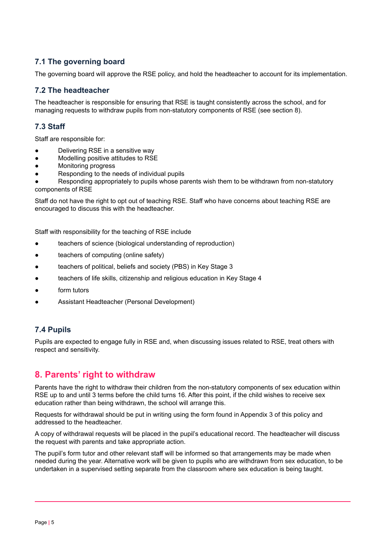### **7.1 The governing board**

The governing board will approve the RSE policy, and hold the headteacher to account for its implementation.

#### **7.2 The headteacher**

The headteacher is responsible for ensuring that RSE is taught consistently across the school, and for managing requests to withdraw pupils from non-statutory components of RSE (see section 8).

#### **7.3 Staff**

Staff are responsible for:

- Delivering RSE in a sensitive way
- Modelling positive attitudes to RSE
- Monitoring progress
- Responding to the needs of individual pupils

Responding appropriately to pupils whose parents wish them to be withdrawn from non-statutory components of RSE

Staff do not have the right to opt out of teaching RSE. Staff who have concerns about teaching RSE are encouraged to discuss this with the headteacher.

Staff with responsibility for the teaching of RSE include

- teachers of science (biological understanding of reproduction)
- teachers of computing (online safety)
- teachers of political, beliefs and society (PBS) in Key Stage 3
- teachers of life skills, citizenship and religious education in Key Stage 4
- form tutors
- Assistant Headteacher (Personal Development)

#### **7.4 Pupils**

Pupils are expected to engage fully in RSE and, when discussing issues related to RSE, treat others with respect and sensitivity.

#### <span id="page-4-0"></span>**8. Parents' right to withdraw**

Parents have the right to withdraw their children from the non-statutory components of sex education within RSE up to and until 3 terms before the child turns 16. After this point, if the child wishes to receive sex education rather than being withdrawn, the school will arrange this.

Requests for withdrawal should be put in writing using the form found in Appendix 3 of this policy and addressed to the headteacher.

A copy of withdrawal requests will be placed in the pupil's educational record. The headteacher will discuss the request with parents and take appropriate action.

The pupil's form tutor and other relevant staff will be informed so that arrangements may be made when needed during the year. Alternative work will be given to pupils who are withdrawn from sex education, to be undertaken in a supervised setting separate from the classroom where sex education is being taught.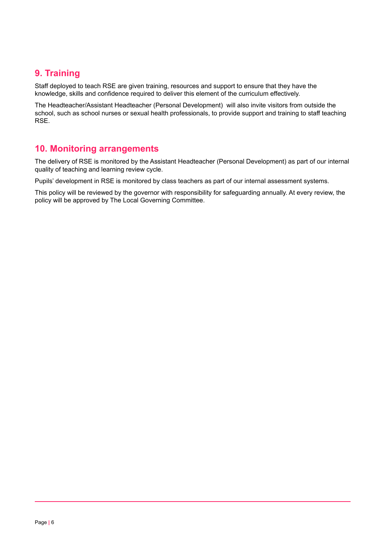# <span id="page-5-0"></span>**9. Training**

Staff deployed to teach RSE are given training, resources and support to ensure that they have the knowledge, skills and confidence required to deliver this element of the curriculum effectively.

The Headteacher/Assistant Headteacher (Personal Development) will also invite visitors from outside the school, such as school nurses or sexual health professionals, to provide support and training to staff teaching RSE.

## <span id="page-5-1"></span>**10. Monitoring arrangements**

The delivery of RSE is monitored by the Assistant Headteacher (Personal Development) as part of our internal quality of teaching and learning review cycle.

Pupils' development in RSE is monitored by class teachers as part of our internal assessment systems.

This policy will be reviewed by the governor with responsibility for safeguarding annually. At every review, the policy will be approved by The Local Governing Committee.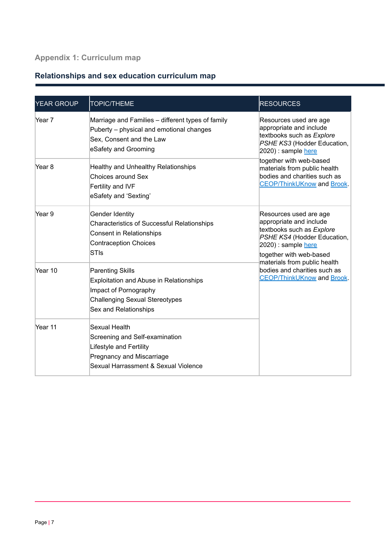# **Appendix 1: Curriculum map**

# **Relationships and sex education curriculum map**

| YEAR GROUP | <b>TOPIC/THEME</b>                                                                                                                                                   | <b>RESOURCES</b>                                                                                                                                                   |
|------------|----------------------------------------------------------------------------------------------------------------------------------------------------------------------|--------------------------------------------------------------------------------------------------------------------------------------------------------------------|
| Year 7     | Marriage and Families - different types of family<br>Puberty – physical and emotional changes<br>Sex, Consent and the Law<br>eSafety and Grooming                    | Resources used are age<br>appropriate and include<br>textbooks such as Explore<br>PSHE KS3 (Hodder Education,<br>$ 2020)$ : sample here                            |
| Year 8     | Healthy and Unhealthy Relationships<br>Choices around Sex<br>Fertility and IVF<br>eSafety and 'Sexting'                                                              | together with web-based<br>materials from public health<br>bodies and charities such as<br><b>CEOP/ThinkUKnow and Brook.</b>                                       |
| Year 9     | <b>Gender Identity</b><br><b>Characteristics of Successful Relationships</b><br>Consent in Relationships<br><b>Contraception Choices</b><br><b>STIs</b>              | Resources used are age<br>appropriate and include<br>textbooks such as Explore<br>PSHE KS4 (Hodder Education,<br>$ 2020)$ : sample here<br>together with web-based |
| Year 10    | <b>Parenting Skills</b><br><b>Exploitation and Abuse in Relationships</b><br>Impact of Pornography<br><b>Challenging Sexual Stereotypes</b><br>Sex and Relationships | materials from public health<br>bodies and charities such as<br><b>CEOP/ThinkUKnow</b> and <b>Brook</b> .                                                          |
| Year 11    | Sexual Health<br>Screening and Self-examination<br>Lifestyle and Fertility<br>Pregnancy and Miscarriage<br>Sexual Harrassment & Sexual Violence                      |                                                                                                                                                                    |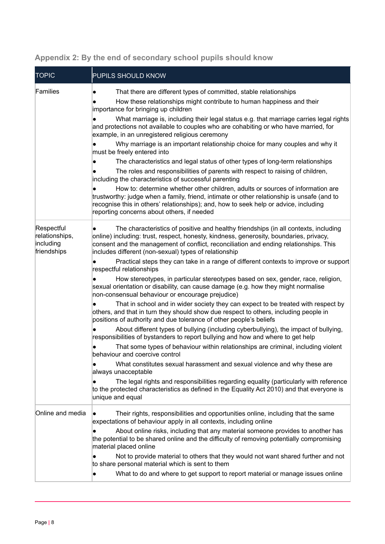| <b>TOPIC</b>                                             | PUPILS SHOULD KNOW                                                                                                                                                                                                                                                                                                                                                                                                                                                                                                                                                                                                                                                                                                                                                                                                                                                                                                                                                                                                                                                                                                                                                                                                                                                                                                                                                                                                                                                                                                                                  |
|----------------------------------------------------------|-----------------------------------------------------------------------------------------------------------------------------------------------------------------------------------------------------------------------------------------------------------------------------------------------------------------------------------------------------------------------------------------------------------------------------------------------------------------------------------------------------------------------------------------------------------------------------------------------------------------------------------------------------------------------------------------------------------------------------------------------------------------------------------------------------------------------------------------------------------------------------------------------------------------------------------------------------------------------------------------------------------------------------------------------------------------------------------------------------------------------------------------------------------------------------------------------------------------------------------------------------------------------------------------------------------------------------------------------------------------------------------------------------------------------------------------------------------------------------------------------------------------------------------------------------|
| Families                                                 | That there are different types of committed, stable relationships<br>How these relationships might contribute to human happiness and their<br>importance for bringing up children<br>What marriage is, including their legal status e.g. that marriage carries legal rights<br>and protections not available to couples who are cohabiting or who have married, for<br>example, in an unregistered religious ceremony<br>Why marriage is an important relationship choice for many couples and why it<br>must be freely entered into<br>The characteristics and legal status of other types of long-term relationships<br>The roles and responsibilities of parents with respect to raising of children,<br>including the characteristics of successful parenting<br>How to: determine whether other children, adults or sources of information are<br>trustworthy: judge when a family, friend, intimate or other relationship is unsafe (and to<br>recognise this in others' relationships); and, how to seek help or advice, including<br>reporting concerns about others, if needed                                                                                                                                                                                                                                                                                                                                                                                                                                                             |
| Respectful<br>relationships,<br>including<br>friendships | The characteristics of positive and healthy friendships (in all contexts, including<br>online) including: trust, respect, honesty, kindness, generosity, boundaries, privacy,<br>consent and the management of conflict, reconciliation and ending relationships. This<br>includes different (non-sexual) types of relationship<br>Practical steps they can take in a range of different contexts to improve or support<br>respectful relationships<br>How stereotypes, in particular stereotypes based on sex, gender, race, religion,<br>sexual orientation or disability, can cause damage (e.g. how they might normalise<br>non-consensual behaviour or encourage prejudice)<br>That in school and in wider society they can expect to be treated with respect by<br>others, and that in turn they should show due respect to others, including people in<br>positions of authority and due tolerance of other people's beliefs<br>About different types of bullying (including cyberbullying), the impact of bullying,<br>responsibilities of bystanders to report bullying and how and where to get help<br>That some types of behaviour within relationships are criminal, including violent<br>behaviour and coercive control<br>What constitutes sexual harassment and sexual violence and why these are<br>always unacceptable<br>The legal rights and responsibilities regarding equality (particularly with reference<br>to the protected characteristics as defined in the Equality Act 2010) and that everyone is<br>unique and equal |
| Online and media                                         | Their rights, responsibilities and opportunities online, including that the same<br>expectations of behaviour apply in all contexts, including online<br>About online risks, including that any material someone provides to another has<br>the potential to be shared online and the difficulty of removing potentially compromising<br>material placed online<br>Not to provide material to others that they would not want shared further and not<br>to share personal material which is sent to them<br>What to do and where to get support to report material or manage issues online<br>$\bullet$                                                                                                                                                                                                                                                                                                                                                                                                                                                                                                                                                                                                                                                                                                                                                                                                                                                                                                                                             |

# **Appendix 2: By the end of secondary school pupils should know**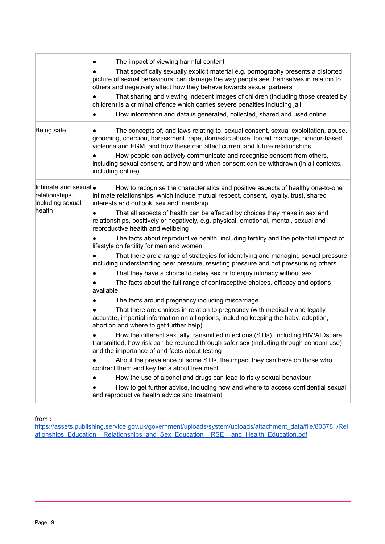|                                                                       | The impact of viewing harmful content<br>That specifically sexually explicit material e.g. pornography presents a distorted<br>picture of sexual behaviours, can damage the way people see themselves in relation to<br>others and negatively affect how they behave towards sexual partners<br>That sharing and viewing indecent images of children (including those created by<br>children) is a criminal offence which carries severe penalties including jail<br>How information and data is generated, collected, shared and used online<br>$\bullet$ |  |  |
|-----------------------------------------------------------------------|------------------------------------------------------------------------------------------------------------------------------------------------------------------------------------------------------------------------------------------------------------------------------------------------------------------------------------------------------------------------------------------------------------------------------------------------------------------------------------------------------------------------------------------------------------|--|--|
| Being safe                                                            | The concepts of, and laws relating to, sexual consent, sexual exploitation, abuse,<br>grooming, coercion, harassment, rape, domestic abuse, forced marriage, honour-based<br>violence and FGM, and how these can affect current and future relationships<br>How people can actively communicate and recognise consent from others,<br>including sexual consent, and how and when consent can be withdrawn (in all contexts,<br>including online)                                                                                                           |  |  |
| Intimate and sexual •<br>relationships,<br>including sexual<br>health | How to recognise the characteristics and positive aspects of healthy one-to-one<br>intimate relationships, which include mutual respect, consent, loyalty, trust, shared<br>interests and outlook, sex and friendship<br>That all aspects of health can be affected by choices they make in sex and                                                                                                                                                                                                                                                        |  |  |
|                                                                       | relationships, positively or negatively, e.g. physical, emotional, mental, sexual and<br>reproductive health and wellbeing                                                                                                                                                                                                                                                                                                                                                                                                                                 |  |  |
|                                                                       | The facts about reproductive health, including fertility and the potential impact of<br>lifestyle on fertility for men and women                                                                                                                                                                                                                                                                                                                                                                                                                           |  |  |
|                                                                       | That there are a range of strategies for identifying and managing sexual pressure,<br>including understanding peer pressure, resisting pressure and not pressurising others                                                                                                                                                                                                                                                                                                                                                                                |  |  |
|                                                                       | That they have a choice to delay sex or to enjoy intimacy without sex                                                                                                                                                                                                                                                                                                                                                                                                                                                                                      |  |  |
|                                                                       | The facts about the full range of contraceptive choices, efficacy and options<br>available                                                                                                                                                                                                                                                                                                                                                                                                                                                                 |  |  |
|                                                                       | The facts around pregnancy including miscarriage                                                                                                                                                                                                                                                                                                                                                                                                                                                                                                           |  |  |
|                                                                       | That there are choices in relation to pregnancy (with medically and legally<br>accurate, impartial information on all options, including keeping the baby, adoption,<br>abortion and where to get further help)                                                                                                                                                                                                                                                                                                                                            |  |  |
|                                                                       | How the different sexually transmitted infections (STIs), including HIV/AIDs, are<br>transmitted, how risk can be reduced through safer sex (including through condom use)<br>and the importance of and facts about testing                                                                                                                                                                                                                                                                                                                                |  |  |
|                                                                       | About the prevalence of some STIs, the impact they can have on those who<br>contract them and key facts about treatment                                                                                                                                                                                                                                                                                                                                                                                                                                    |  |  |
|                                                                       | How the use of alcohol and drugs can lead to risky sexual behaviour                                                                                                                                                                                                                                                                                                                                                                                                                                                                                        |  |  |
|                                                                       | How to get further advice, including how and where to access confidential sexual<br>and reproductive health advice and treatment                                                                                                                                                                                                                                                                                                                                                                                                                           |  |  |

from :

[https://assets.publishing.service.gov.uk/government/uploads/system/uploads/attachment\\_data/file/805781/Rel](https://assets.publishing.service.gov.uk/government/uploads/system/uploads/attachment_data/file/805781/Relationships_Education__Relationships_and_Sex_Education__RSE__and_Health_Education.pdf) ationships Education Relationships and Sex Education RSE and Health Education.pdf